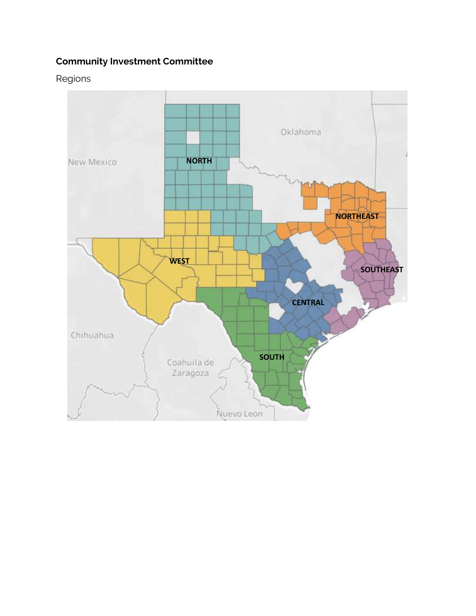## **Community Investment Committee**

Regions

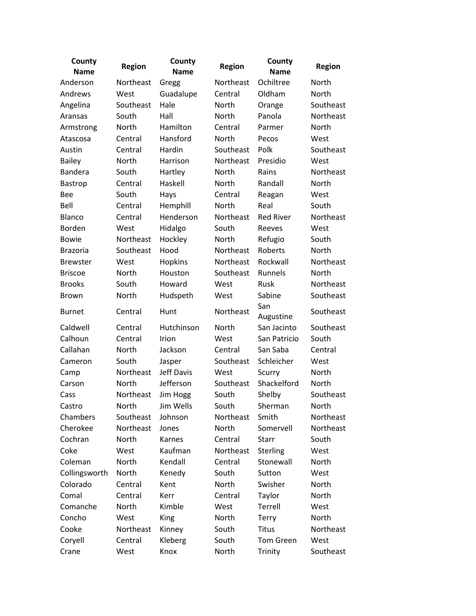| County<br><b>Name</b> | <b>Region</b> | County<br><b>Name</b> | <b>Region</b> | County<br><b>Name</b> | <b>Region</b> |
|-----------------------|---------------|-----------------------|---------------|-----------------------|---------------|
| Anderson              | Northeast     | Gregg                 | Northeast     | Ochiltree             | North         |
| Andrews               | West          | Guadalupe             | Central       | Oldham                | North         |
| Angelina              | Southeast     | Hale                  | North         | Orange                | Southeast     |
| Aransas               | South         | Hall                  | North         | Panola                | Northeast     |
| Armstrong             | North         | Hamilton              | Central       | Parmer                | North         |
| Atascosa              | Central       | Hansford              | <b>North</b>  | Pecos                 | West          |
| Austin                | Central       | Hardin                | Southeast     | Polk                  | Southeast     |
| <b>Bailey</b>         | North         | Harrison              | Northeast     | Presidio              | West          |
| <b>Bandera</b>        | South         | Hartley               | North         | Rains                 | Northeast     |
| Bastrop               | Central       | Haskell               | <b>North</b>  | Randall               | North         |
| <b>Bee</b>            | South         | Hays                  | Central       | Reagan                | West          |
| Bell                  | Central       | Hemphill              | North         | Real                  | South         |
| <b>Blanco</b>         | Central       | Henderson             | Northeast     | <b>Red River</b>      | Northeast     |
| Borden                | West          | Hidalgo               | South         | Reeves                | West          |
| <b>Bowie</b>          | Northeast     | Hockley               | <b>North</b>  | Refugio               | South         |
| <b>Brazoria</b>       | Southeast     | Hood                  | Northeast     | Roberts               | <b>North</b>  |
| <b>Brewster</b>       | West          | Hopkins               | Northeast     | Rockwall              | Northeast     |
| <b>Briscoe</b>        | North         | Houston               | Southeast     | Runnels               | North         |
| <b>Brooks</b>         | South         | Howard                | West          | Rusk                  | Northeast     |
| <b>Brown</b>          | North         | Hudspeth              | West          | Sabine                | Southeast     |
| <b>Burnet</b>         | Central       | Hunt                  | Northeast     | San<br>Augustine      | Southeast     |
| Caldwell              | Central       | Hutchinson            | North         | San Jacinto           | Southeast     |
| Calhoun               | Central       | Irion                 | West          | San Patricio          | South         |
| Callahan              | North         | Jackson               | Central       | San Saba              | Central       |
| Cameron               | South         | Jasper                | Southeast     | Schleicher            | West          |
| Camp                  | Northeast     | Jeff Davis            | West          | Scurry                | North         |
| Carson                | North         | Jefferson             | Southeast     | Shackelford           | North         |
| Cass                  | Northeast     | Jim Hogg              | South         | Shelby                | Southeast     |
| Castro                | North         | Jim Wells             | South         | Sherman               | North         |
| Chambers              | Southeast     | Johnson               | Northeast     | Smith                 | Northeast     |
| Cherokee              | Northeast     | Jones                 | North         | Somervell             | Northeast     |
| Cochran               | North         | Karnes                | Central       | <b>Starr</b>          | South         |
| Coke                  | West          | Kaufman               | Northeast     | Sterling              | West          |
| Coleman               | North         | Kendall               | Central       | Stonewall             | North         |
| Collingsworth         | North         | Kenedy                | South         | Sutton                | West          |
| Colorado              | Central       | Kent                  | North         | Swisher               | North         |
| Comal                 | Central       | Kerr                  | Central       | Taylor                | North         |
| Comanche              | North         | Kimble                | West          | Terrell               | West          |
| Concho                | West          | King                  | North         | Terry                 | North         |
| Cooke                 | Northeast     | Kinney                | South         | <b>Titus</b>          | Northeast     |
| Coryell               | Central       | Kleberg               | South         | <b>Tom Green</b>      | West          |
| Crane                 | West          | Knox                  | North         | Trinity               | Southeast     |